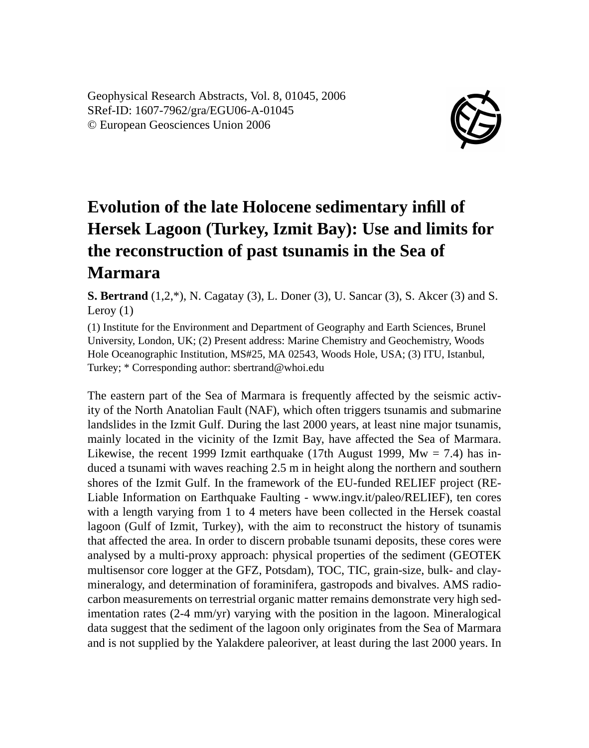Geophysical Research Abstracts, Vol. 8, 01045, 2006 SRef-ID: 1607-7962/gra/EGU06-A-01045 © European Geosciences Union 2006



## **Evolution of the late Holocene sedimentary infill of Hersek Lagoon (Turkey, Izmit Bay): Use and limits for the reconstruction of past tsunamis in the Sea of Marmara**

**S. Bertrand** (1,2,\*), N. Cagatay (3), L. Doner (3), U. Sancar (3), S. Akcer (3) and S. Leroy (1)

(1) Institute for the Environment and Department of Geography and Earth Sciences, Brunel University, London, UK; (2) Present address: Marine Chemistry and Geochemistry, Woods Hole Oceanographic Institution, MS#25, MA 02543, Woods Hole, USA; (3) ITU, Istanbul, Turkey; \* Corresponding author: sbertrand@whoi.edu

The eastern part of the Sea of Marmara is frequently affected by the seismic activity of the North Anatolian Fault (NAF), which often triggers tsunamis and submarine landslides in the Izmit Gulf. During the last 2000 years, at least nine major tsunamis, mainly located in the vicinity of the Izmit Bay, have affected the Sea of Marmara. Likewise, the recent 1999 Izmit earthquake (17th August 1999,  $Mw = 7.4$ ) has induced a tsunami with waves reaching 2.5 m in height along the northern and southern shores of the Izmit Gulf. In the framework of the EU-funded RELIEF project (RE-Liable Information on Earthquake Faulting - www.ingv.it/paleo/RELIEF), ten cores with a length varying from 1 to 4 meters have been collected in the Hersek coastal lagoon (Gulf of Izmit, Turkey), with the aim to reconstruct the history of tsunamis that affected the area. In order to discern probable tsunami deposits, these cores were analysed by a multi-proxy approach: physical properties of the sediment (GEOTEK multisensor core logger at the GFZ, Potsdam), TOC, TIC, grain-size, bulk- and claymineralogy, and determination of foraminifera, gastropods and bivalves. AMS radiocarbon measurements on terrestrial organic matter remains demonstrate very high sedimentation rates (2-4 mm/yr) varying with the position in the lagoon. Mineralogical data suggest that the sediment of the lagoon only originates from the Sea of Marmara and is not supplied by the Yalakdere paleoriver, at least during the last 2000 years. In